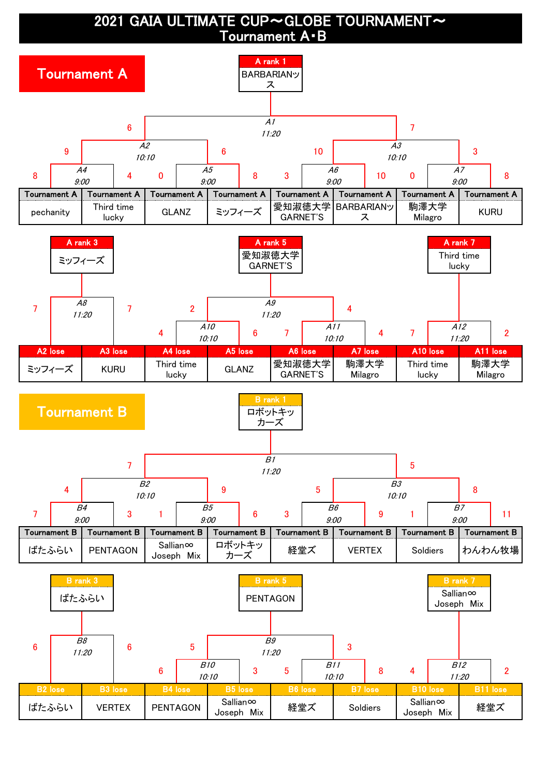2021 GAIA ULTIMATE CUP~GLOBE TOURNAMENT~ Tournament A・B

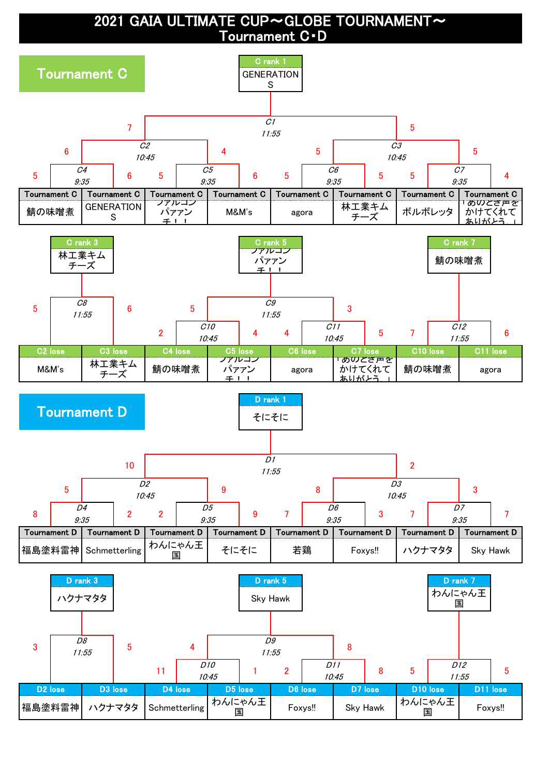2021 GAIA ULTIMATE CUP~GLOBE TOURNAMENT~ Tournament C・D

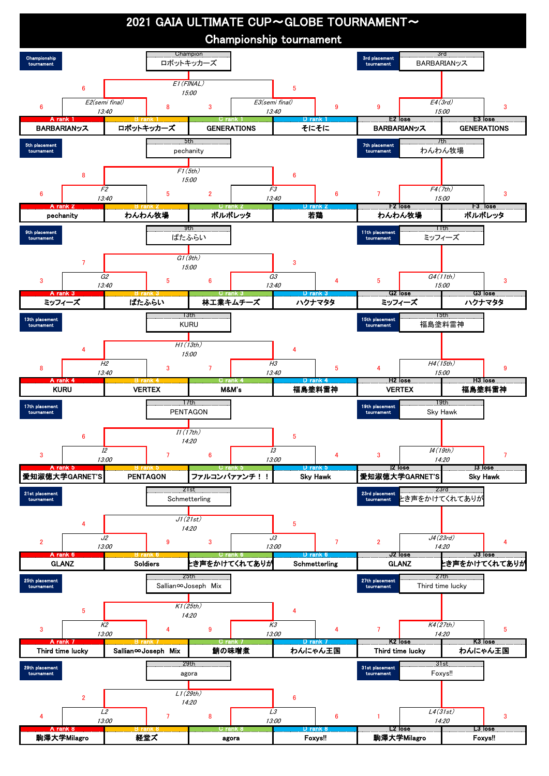